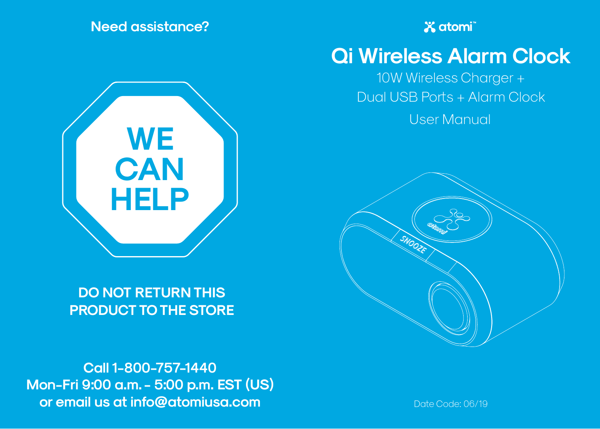**Need assistance?**



**DO NOT RETURN THIS PRODUCT TO THE STORE**

**Call 1-800-757-1440 Mon-Fri 9:00 a.m. - 5:00 p.m. EST (US) or email us at info@atomiusa.com**

**X** atomi

# **Qi Wireless Alarm Clock**

10W Wireless Charger + Dual USB Ports + Alarm Clock

User Manual



Date Code: 06/19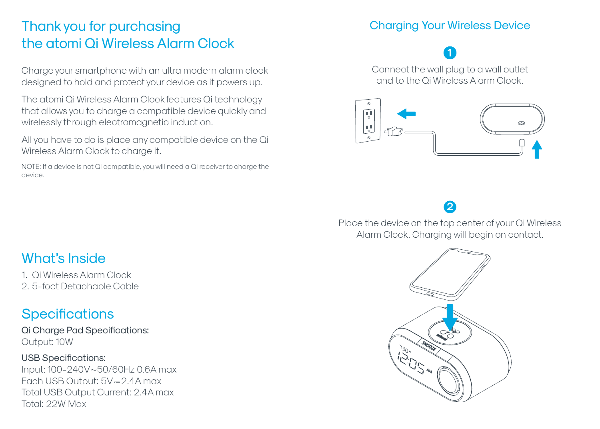### Thank you for purchasing the atomi Qi Wireless Alarm Clock

Charge your smartphone with an ultra modern alarm clock designed to hold and protect your device as it powers up.

The atomi Qi Wireless Alarm Clock features Qi technology that allows you to charge a compatible device quickly and wirelessly through electromagnetic induction.

All you have to do is place any compatible device on the Qi Wireless Alarm Clock to charge it.

NOTE: If a device is not Qi compatible, you will need a Qi receiver to charge the device.

#### Charging Your Wireless Device

**1**Connect the wall plug to a wall outlet and to the Qi Wireless Alarm Clock.



**2**

Place the device on the top center of your Qi Wireless Alarm Clock. Charging will begin on contact.



### What's Inside

1. Qi Wireless Alarm Clock 2. 5-foot Detachable Cable

### **Specifications**

Qi Charge Pad Specifications: Output: 10W

USB Specifications: Input: 100-240V~50/60Hz 0.6A max Each USB Output:  $5V = 2.4A$  max Total USB Output Current: 2.4A max Total: 22W Max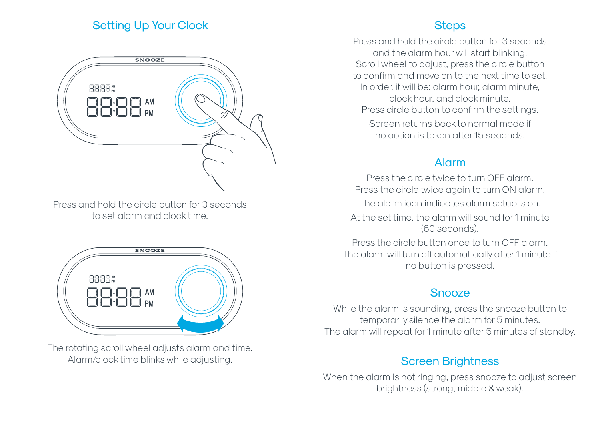#### Setting Up Your Clock



Press and hold the circle button for 3 seconds to set alarm and clock time.



The rotating scroll wheel adjusts alarm and time. Alarm/clock time blinks while adjusting.

#### **Steps**

Press and hold the circle button for 3 seconds and the alarm hour will start blinking. Scroll wheel to adjust, press the circle button to confirm and move on to the next time to set. In order, it will be: alarm hour, alarm minute, clock hour, and clock minute. Press circle button to confirm the settings. Screen returns back to normal mode if no action is taken after 15 seconds.

#### Alarm

Press the circle twice to turn OFF alarm. Press the circle twice again to turn ON alarm.

The alarm icon indicates alarm setup is on. At the set time, the alarm will sound for 1 minute

(60 seconds).

Press the circle button once to turn OFF alarm. The alarm will turn off automatically after 1 minute if no button is pressed.

#### **Snooze**

While the alarm is sounding, press the snooze button to temporarily silence the alarm for 5 minutes. The alarm will repeat for 1 minute after 5 minutes of standby.

#### Screen Brightness

When the alarm is not ringing, press snooze to adjust screen brightness (strong, middle & weak).